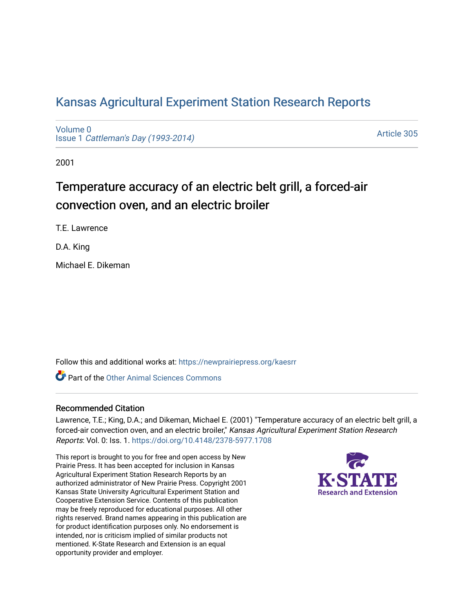## [Kansas Agricultural Experiment Station Research Reports](https://newprairiepress.org/kaesrr)

[Volume 0](https://newprairiepress.org/kaesrr/vol0) Issue 1 [Cattleman's Day \(1993-2014\)](https://newprairiepress.org/kaesrr/vol0/iss1) 

[Article 305](https://newprairiepress.org/kaesrr/vol0/iss1/305) 

2001

# Temperature accuracy of an electric belt grill, a forced-air convection oven, and an electric broiler

T.E. Lawrence

D.A. King

Michael E. Dikeman

Follow this and additional works at: [https://newprairiepress.org/kaesrr](https://newprairiepress.org/kaesrr?utm_source=newprairiepress.org%2Fkaesrr%2Fvol0%2Fiss1%2F305&utm_medium=PDF&utm_campaign=PDFCoverPages) 

**C** Part of the [Other Animal Sciences Commons](http://network.bepress.com/hgg/discipline/82?utm_source=newprairiepress.org%2Fkaesrr%2Fvol0%2Fiss1%2F305&utm_medium=PDF&utm_campaign=PDFCoverPages)

#### Recommended Citation

Lawrence, T.E.; King, D.A.; and Dikeman, Michael E. (2001) "Temperature accuracy of an electric belt grill, a forced-air convection oven, and an electric broiler," Kansas Agricultural Experiment Station Research Reports: Vol. 0: Iss. 1.<https://doi.org/10.4148/2378-5977.1708>

This report is brought to you for free and open access by New Prairie Press. It has been accepted for inclusion in Kansas Agricultural Experiment Station Research Reports by an authorized administrator of New Prairie Press. Copyright 2001 Kansas State University Agricultural Experiment Station and Cooperative Extension Service. Contents of this publication may be freely reproduced for educational purposes. All other rights reserved. Brand names appearing in this publication are for product identification purposes only. No endorsement is intended, nor is criticism implied of similar products not mentioned. K-State Research and Extension is an equal opportunity provider and employer.

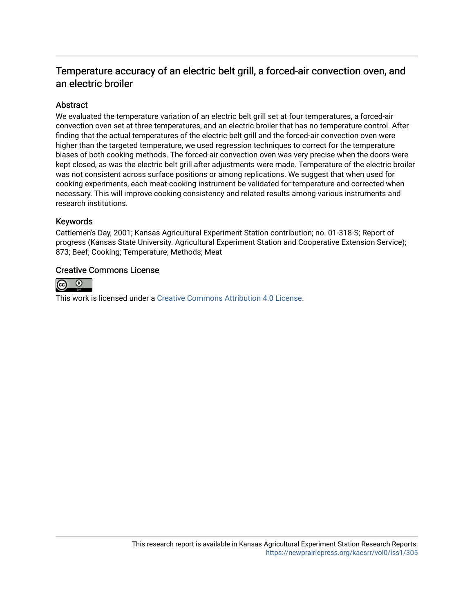### Temperature accuracy of an electric belt grill, a forced-air convection oven, and an electric broiler

#### Abstract

We evaluated the temperature variation of an electric belt grill set at four temperatures, a forced-air convection oven set at three temperatures, and an electric broiler that has no temperature control. After finding that the actual temperatures of the electric belt grill and the forced-air convection oven were higher than the targeted temperature, we used regression techniques to correct for the temperature biases of both cooking methods. The forced-air convection oven was very precise when the doors were kept closed, as was the electric belt grill after adjustments were made. Temperature of the electric broiler was not consistent across surface positions or among replications. We suggest that when used for cooking experiments, each meat-cooking instrument be validated for temperature and corrected when necessary. This will improve cooking consistency and related results among various instruments and research institutions.

#### Keywords

Cattlemen's Day, 2001; Kansas Agricultural Experiment Station contribution; no. 01-318-S; Report of progress (Kansas State University. Agricultural Experiment Station and Cooperative Extension Service); 873; Beef; Cooking; Temperature; Methods; Meat

#### Creative Commons License



This work is licensed under a [Creative Commons Attribution 4.0 License](https://creativecommons.org/licenses/by/4.0/).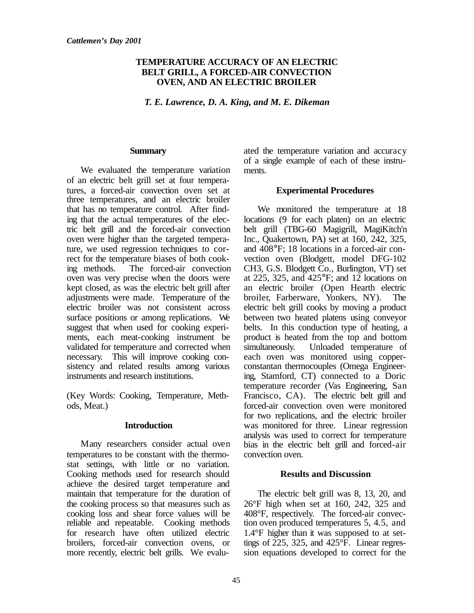#### **TEMPERATURE ACCURACY OF AN ELECTRIC BELT GRILL, A FORCED-AIR CONVECTION OVEN, AND AN ELECTRIC BROILER**

*T. E. Lawrence, D. A. King, and M. E. Dikeman*

#### **Summary**

We evaluated the temperature variation of an electric belt grill set at four temperatures, a forced-air convection oven set at three temperatures, and an electric broiler that has no temperature control. After finding that the actual temperatures of the electric belt grill and the forced-air convection oven were higher than the targeted temperature, we used regression techniques to correct for the temperature biases of both cooking methods. The forced-air convection oven was very precise when the doors were kept closed, as was the electric belt grill after adjustments were made. Temperature of the electric broiler was not consistent across surface positions or among replications. We suggest that when used for cooking experiments, each meat-cooking instrument be validated for temperature and corrected when necessary. This will improve cooking consistency and related results among various instruments and research institutions.

(Key Words: Cooking, Temperature, Methods, Meat.)

#### **Introduction**

Many researchers consider actual oven temperatures to be constant with the thermostat settings, with little or no variation. Cooking methods used for research should achieve the desired target temperature and maintain that temperature for the duration of the cooking process so that measures such as cooking loss and shear force values will be reliable and repeatable. Cooking methods for research have often utilized electric broilers, forced-air convection ovens, or more recently, electric belt grills. We evaluated the temperature variation and accuracy of a single example of each of these instruments.

#### **Experimental Procedures**

We monitored the temperature at 18 locations (9 for each platen) on an electric belt grill (TBG-60 Magigrill, MagiKitch'n Inc., Quakertown, PA) set at 160, 242, 325, and 408°F; 18 locations in a forced-air convection oven (Blodgett, model DFG-102 CH3, G.S. Blodgett Co., Burlington, VT) set at 225, 325, and 425°F; and  $12$  locations on an electric broiler (Open Hearth electric broiler, Farberware, Yonkers, NY). The electric belt grill cooks by moving a product between two heated platens using conveyor belts. In this conduction type of heating, a product is heated from the top and bottom simultaneously. Unloaded temperature of each oven was monitored using copperconstantan thermocouples (Omega Engineering, Stamford, CT) connected to a Doric temperature recorder (Vas Engineering, San Francisco, CA).The electric belt grill and forced-air convection oven were monitored for two replications, and the electric broiler was monitored for three. Linear regression analysis was used to correct for temperature bias in the electric belt grill and forced-air convection oven.

#### **Results and Discussion**

The electric belt grill was 8, 13, 20, and 26°F high when set at 160, 242, 325 and 408°F, respectively. The forced-air convection oven produced temperatures 5, 4.5, and 1.4°F higher than it was supposed to at settings of 225, 325, and 425°F. Linear regression equations developed to correct for the